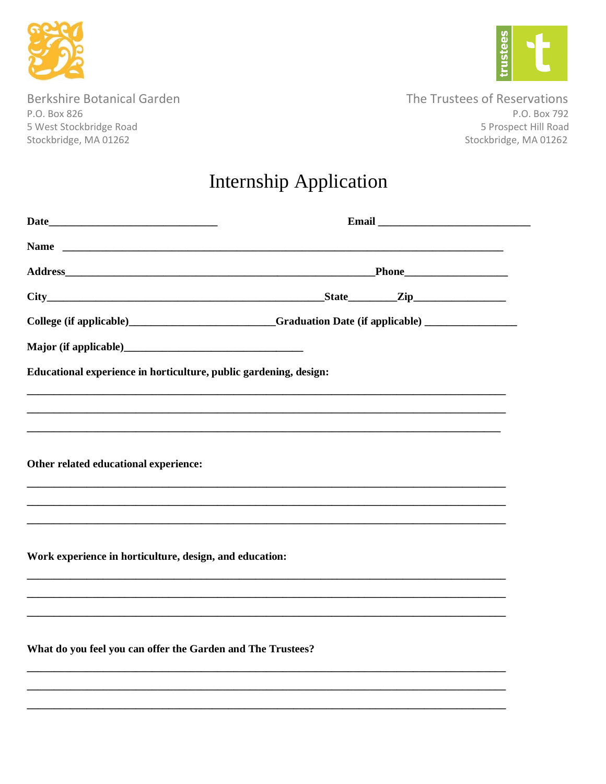



**Berkshire Botanical Garden** P.O. Box 826 5 West Stockbridge Road Stockbridge, MA 01262

The Trustees of Reservations P.O. Box 792 5 Prospect Hill Road Stockbridge, MA 01262

## **Internship Application**

| College (if applicable)_____________________________Graduation Date (if applicable) ________________ |  |  |  |
|------------------------------------------------------------------------------------------------------|--|--|--|
|                                                                                                      |  |  |  |
| Educational experience in horticulture, public gardening, design:                                    |  |  |  |
|                                                                                                      |  |  |  |
|                                                                                                      |  |  |  |
|                                                                                                      |  |  |  |
| Other related educational experience:                                                                |  |  |  |
|                                                                                                      |  |  |  |
|                                                                                                      |  |  |  |
| Work experience in horticulture, design, and education:                                              |  |  |  |
|                                                                                                      |  |  |  |
|                                                                                                      |  |  |  |
|                                                                                                      |  |  |  |
| What do you feel you can offer the Garden and The Trustees?                                          |  |  |  |
|                                                                                                      |  |  |  |